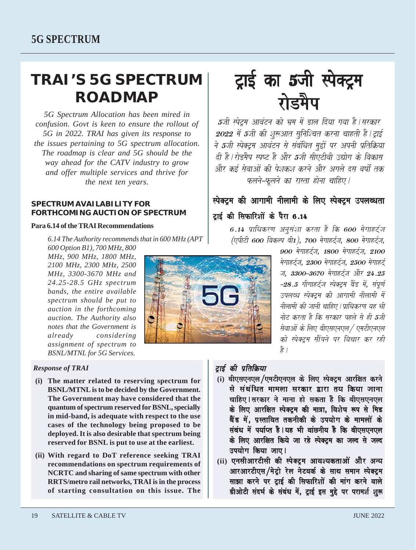# **TRAI'S 5G SPECTRUM ROADMAP**

*5G Spectrum Allocation has been mired in confusion. Govt is keen to ensure the rollout of 5G in 2022. TRAI has given its response to the issues pertaining to 5G spectrum allocation. The roadmap is clear and 5G should be the way ahead for the CATV industry to grow and offer multiple services and thrive for the next ten years.*

#### **SPECTRUM AVAILABILITY FOR FORTHCOMING AUCTION OF SPECTRUM**

## **Para 6.14 of the TRAI Recommendations**

*6.14 The Authority recommends that in 600 MHz (APT 600 Option B1), 700 MHz, 800*

*MHz, 900 MHz, 1800 MHz, 2100 MHz, 2300 MHz, 2500 MHz, 3300-3670 MHz and 24.25-28.5 GHz spectrum bands, the entire available spectrum should be put to auction in the forthcoming auction. The Authority also notes that the Government is already considering assignment of spectrum to BSNL/MTNL for 5G Services.*

## *Response of TRAI*

- **(i) The matter related to reserving spectrum for BSNL/MTNL is to be decided by the Government. The Government may have considered that the quantum of spectrum reserved for BSNL, specially in mid-band, is adequate with respect to the use cases of the technology being proposed to be deployed. It is also desirable that spectrum being reserved for BSNL is put to use at the earliest.**
- **(ii) With regard to DoT reference seeking TRAI recommendations on spectrum requirements of NCRTC and sharing of same spectrum with other RRTS/metro rail networks, TRAI is in the process of starting consultation on this issue. The**



5जी स्पेट्रम आवंटन को भ्रम में डाल दिया गया है।सरकार 2022 में 5जी की शुरूआत सुनिश्चित करना चाहती है। ट्राई ने 5जी स्पेक्ट्रम आवंटन से संबंधित मुद्दों पर अपनी प्रतिक्रिया *दी है। रोडमैप स्प*ष्ट है और 5जी सीएटीवी उद्योग के विकास और कई सेवाओं की पेशकश करने और अगले दस वर्षों तक फलने–फलने का रास्ता होना चाहिए।

## स्पेक्टम की आगामी नीलामी के लिए स्पेक्टम उपलब्धता टाई की सिफारिशों के पैरा 6.14

6.14 प्राधिकरण अनुसंशा करता है कि 600 मेगाहर्ट्ज (एपीटी 600 विकल्प बी1), 700 मेगाहर्टज, 800 मेगाहर्टज,

> 900 मेगाहर्टज, 1800 मेगाहर्टज, 2100 मेगाहर्टज, 2300 मेगाहर्टज, 2500 मेगाहर्ट ज. 3300-3670 मेगाहर्टज और 24.25  $-28.5$  गीगाहर्टज स्पेक्टम बैंड में, संपर्ण उपलब्ध स्पेक्टम की आगामी नीलामी में नीलामी की जानी चाहिए | पाधिकरण यह भी नोट करता है कि सरकार पहले से ही **5**जी सेवाओं के लिए बीएसएनएल / एमटीएनएल को स्पेक्टम सौंपने पर विचार कर रही है /

## ट्राई की प्रतिक्रिया

- (i) बीएसएनएल/एमटीएनएल के लिए स्पेक्ट्रम आरक्षित करने से संबंधित मामला सरकार द्वारा तय किया जाना चाहिए । सरकार ने माना हो सकता है कि बीएसएनएल के लिए आरक्षित स्पेक्टम की मात्रा. विशेष रूप से मिड ु क्षेत्र से पस्तावित तकनीकी के उपयोग के मामलों के संबंध में पर्याप्त है। यह भी वांछनीय है कि बीएसएनएल के लिए आरक्षित किये जा रहे स्पेक्टम का जल्द से जल्द उपयोग किया जाए।
- ii) एनसीआरटीसी की स्पेक्टम आवश्यकताओं और अन्य आरआरटीएस/मेटो रेल नेटवर्क के साथ समान स्पेक्टम साझा करने पर टाई की सिफारिशों की मांग करने वाले डीओटी संदर्भ के संबंध में, ट्राई इस मुद्दे पर परामर्श शुरू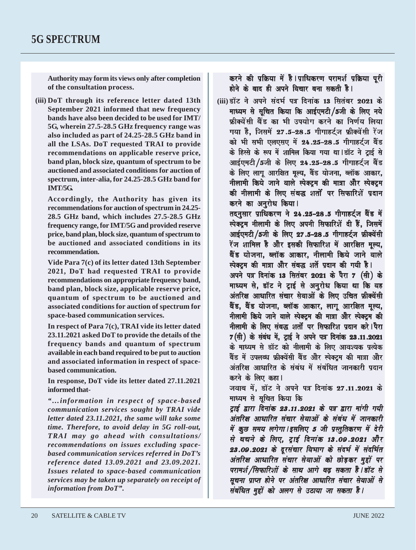**Authority may form its views only after completion of the consultation process.**

**(iii) DoT through its reference letter dated 13th September 2021 informed that new frequency bands have also been decided to be used for IMT/ 5G, wherein 27.5-28.5 GHz frequency range was also included as part of 24.25-28.5 GHz band in all the LSAs. DoT requested TRAI to provide recommendations on applicable reserve price, band plan, block size, quantum of spectrum to be auctioned and associated conditions for auction of spectrum, inter-alia, for 24.25-28.5 GHz band for IMT/5G.**

**Accordingly, the Authority has given its recommendations for auction of spectrum in 24.25- 28.5 GHz band, which includes 27.5-28.5 GHz frequency range, for IMT/5G and provided reserve price, band plan, block size, quantum of spectrum to be auctioned and associated conditions in its recommendation.**

**Vide Para 7(c) of its letter dated 13th September 2021, DoT had requested TRAI to provide recommendations on appropriate frequency band, band plan, block size, applicable reserve price, quantum of spectrum to be auctioned and associated conditions for auction of spectrum for space-based communication services.**

**In respect of Para 7(c), TRAI vide its letter dated 23.11.2021 asked DoT to provide the details of the frequency bands and quantum of spectrum available in each band required to be put to auction and associated information in respect of spacebased communication.**

**In response, DoT vide its letter dated 27.11.2021 informed that-**

*"…information in respect of space-based communication services sought by TRAI vide letter dated 23.11.2021, the same will take some time. Therefore, to avoid delay in 5G roll-out, TRAI may go ahead with consultations/ recommendations on issues excluding spacebased communication services referred in DoT's reference dated 13.09.2021 and 23.09.2021. Issues related to space-based communication services may be taken up separately on receipt of information from DoT".*

करने की प्रक्रिया में है।प्राधिकरण परामर्श प्रक्रिया पूरी होने के बाद ही अपने विचार बना सकती है।

(iii) डॉट ने अपने संदर्भ पत्र दिनांक 13 सितंबर 2021 के mध्यम से सचित किया कि आईएमटी /5जी के लिए नये फ्रीक्वेंसी बैंड का भी उपयोग करने का निर्णय लिया गया है. जिसमें 27.5-28.5 गीगाहर्टज फ्रीक्वेंसी रेंज को भी सभी एलएसए में 24.25–28.5 गीगाहर्टज बैंड के हिस्से के रूप में शामिल किया गया था।डॉट ने टाई से आईएमटी/5जी के लिए 24.25-28.5 गीगाहर्टज बैंड के लिए लागू आरक्षित मूल्य, बैंड योजना, ब्लॉक आकार, नीलामी किये जाने वाले स्पेक्टम की मात्रा और स्पेक्टम की नीलामी के लिए संबद्ध शर्तो पर सिफारिशें प्रदान करने का अनुरोध किया।

तदनुसार प्राधिकरण ने 24.25–28.5 गीगाहर्टज बैंड में स्पेक्टम नीलामी के लिए अपनी सिफारिशें दी हैं. जिसमें आईएमटी/5जी के लिए 27.5–28.5 गीगाहर्टज फ्रीक्वेंसी रेंज शामिल है और इसकी सिफारिश में आरक्षित मल्य. बैंड योजना, ब्लॉक आकार, नीलामी किये जाने वाले स्पेक्टम की मात्रा और संबद्ध शर्ते प्रदान की गयी है।

अपने पत्र दिनांक 13 सितंबर 2021 के पैरा 7 (सी) के माध्यम से, डॉट ने टाई से अनुरोध किया था कि वह अंतरिक्ष आधारित संचार सेवाओं के लिए उचित फ्रीक्वेंसी बैंड, बैंड योजना, ब्लॉक आकार, लागू आरक्षित मूल्य, नीलामी किये जाने वाले स्पेक्टम की मात्रा और स्पेक्टम की नीलामी के लिए संबद्ध शर्तो पर सिफारिश प्रदान करे**।**पैरा  $7$ (सी) के संबंध में, ट्राई ने अपने पत्र दिनांक 23.11.2021 के माध्यम से डॉट को नीलामी के लिए आवश्यक प्रत्येक बैंड में उपलब्ध फ्रीक्वेंसी बैंड और स्पेक्टम की मात्रा और अंतरिक्ष आधारित के संबंध में संबंधित जानकारी प्रदान करने के लिए कहा।

जवाब में, डॉट ने अपने पत्र दिनांक 27.11.2021 के माध्यम से सुचित किया कि

टाई द्वारा दिनांक 23.11.2021 के पत्र द्वारा मांगी गयी अंतरिक्ष आधारित संचार सेवाओं के संबंध में जानकारी में कुछ समय लगेगा।इसलिए 5 जी प्रस्तुतिकरण में देरी से बचने के लिए. टाई दिनांक 13.09.2021 और 23.09.2021 के दरसंचार विभाग के संदर्भ में संदर्भित अंतरिक्ष आधारित संचार सेवाओं को छोड़कर मुद्दों पर परामर्श /सिफारिशों के साथ आगे बढ सकता है।डॉट से सूचना प्राप्त होने पर अंतरिक्ष आधारित संचार सेवाओं से संबंधित मुद्दों को अलग से उठाया जा सकता है।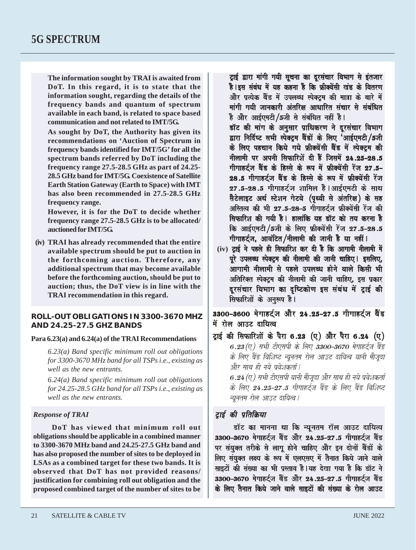**The information sought by TRAI is awaited from DoT. In this regard, it is to state that the information sought, regarding the details of the frequency bands and quantum of spectrum available in each band, is related to space based communication and not related to IMT/5G.**

**As sought by DoT, the Authority has given its recommendations on 'Auction of Spectrum in frequency bands identified for IMT/5G' for all the spectrum bands referred by DoT including the frequency range 27.5-28.5 GHz as part of 24.25- 28.5 GHz band for IMT/5G. Coexistence of Satellite Earth Station Gateway (Earth to Space) with IMT has also been recommended in 27.5-28.5 GHz frequency range.**

**However, it is for the DoT to decide whether frequency range 27.5-28.5 GHz is to be allocated/ auctioned for IMT/5G.**

**(iv) TRAI has already recommended that the entire available spectrum should be put to auction in the forthcoming auction. Therefore, any additional spectrum that may become available before the forthcoming auction, should be put to auction; thus, the DoT view is in line with the TRAI recommendation in this regard.**

#### **ROLL-OUT OBLIGATIONS IN 3300-3670 MHZ AND 24.25-27.5 GHZ BANDS**

#### **Para 6.23(a) and 6.24(a) of the TRAI Recommendations**

*6.23(a) Band specific minimum roll out obligations for 3300-3670 MHz band for all TSPs i.e., existing as well as the new entrants.*

*6.24(a) Band specific minimum roll out obligations for 24.25-28.5 GHz band for all TSPs i.e., existing as well as the new entrants.*

#### *Response of TRAI*

**DoT has viewed that minimum roll out obligations should be applicable in a combined manner to 3300-3670 MHz band and 24.25-27.5 GHz band and has also proposed the number of sites to be deployed in LSAs as a combined target for these two bands. It is observed that DoT has not provided reasons/ justification for combining roll out obligation and the proposed combined target of the number of sites to be**

टाई द्वारा मांगी गयी सचना का दरसंचार विभाग से इंतजार है। इस संबंध में यह कहना है कि फ़ीक्वेंसी खंड के वितरण और प्रत्येक बैंड में उपलब्ध स्पेक्टम की मात्रा के बारे में मांगी गयी जानकारी अंतरिक्ष आधारित संचार से संबंधित है और आईएमटी/5जी से संबंधित नहीं है।

डॉट की मांग के अनसार प्राधिकरण ने दरसंचार विभाग द्वारा निर्दिष्ट सभी स्पेक्ट्रम बैंडों के लिए 'आईएमटी/5जी के लिए पहचान किये गये फ़्रीक्वेंसी बैंड में स्पेक्टम की नीलामी पर अपनी सिफारिशें दी हैं जिसमें 24.25-28.5 गीगाहर्टज बैंड के हिस्से के रूप में फ्रीक्वेंसी रेंज 27.5– 28.5 गीगाहर्टज बैंड के हिस्से के रूप में फ़्रीक्वेंसी रेंज  $27.5-28.5$  गीगाहर्टज शामिल है ।आईएमटी के साथ सैटेलाइट अर्थ स्टेशन गेटवे (पृथ्वी से अंतरिक्ष) के सह अस्तित्व की भी 27.5–28–5 गोगाहर्टज फ्रीक्वेंसी रेंज की सिफारिश की गयी है। हालांकि यह डॉट को तय करना है  $6$  आईएमटी  $/5$ जी के लिए फ्रीक्वेंसी रेंज 27.5–28.5 गीगाहर्ट्ज, आवंटित/नीलामी की जानी है या नहीं।

(iv) ट्राई ने पहले ही सिफारिश कर दी है कि आगामी नीलामी में परे उपलब्ध स्पेक्टम की नीलामी की जानी चाहिए। इसलिए. .<br>आगामी नीलामी से पहले उपलब्ध होने वाले किसी भी अतिरिक्त स्पेक्ट्रम की नीलामी की जानी चाहिए, इस प्रकार दूरसंचार विभाग का दृष्टिकोण इस संबंध में ट्राई की सिफारिशों के अनुरूप है।

3300-3600 मेगाहर्टज और 24.25-27.5 गीगाहर्टज बैंड में रोल आउट दायित्व

ट्राई की सिफारिशों के पैरा 6.23 (ए) और पैरा 6.24 (ए) 6.23 (ए) सभी टीएसपी के लिए 3300-3670 मेगाहर्ट्ज बैंड के लिए बैंड विशिष्ट न्यूनतम रोल आउट दायित्व यानी मौजूदा और साथ ही नये पुवेशकर्ता |

6.24 (ए) सभी टीएसपी यानी मौजूदा और साथ ही नये प्रवेशकर्ता के लिए 24.25-27.5 गीगाहर्ट्ज बैंड के लिए बैंड विशिष्ट च्यनतम रोल आउट दायित्व |

#### ट्ठाई की प्रतिक्रिया

डॉट का मानना था कि न्यूनतम रॉल आउट दायित्व 3300–3670 मेगाहर्टज बैंड और 24.25–27.5 गीगाहर्टज बैंड पर संयुक्त तरीके से लागू होने चाहिए और इन दोनों बैंडों के mu संयुक्त लक्ष्य के रूप में एलएसए में तैनात किये जाने वाले साइटों की संख्या का भी प्रस्ताव है |यह देखा गया है कि डॉट ने 3300–3670 मेगाहर्टज बैंड और 24.25–27.5 गीगाहर्टज बैंड के लिए तैनात किये जाने वाले साइटों की संख्या के रोल आउट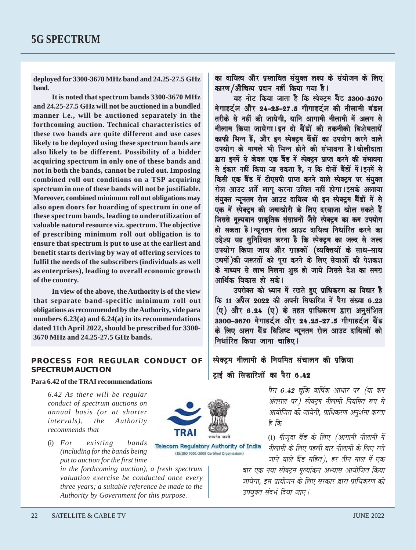**deployed for 3300-3670 MHz band and 24.25-27.5 GHz band.**

**It is noted that spectrum bands 3300-3670 MHz and 24.25-27.5 GHz will not be auctioned in a bundled manner i.e., will be auctioned separately in the forthcoming auction. Technical characteristics of these two bands are quite different and use cases likely to be deployed using these spectrum bands are also likely to be different. Possibility of a bidder acquiring spectrum in only one of these bands and not in both the bands, cannot be ruled out. Imposing combined roll out conditions on a TSP acquiring spectrum in one of these bands will not be justifiable. Moreover, combined minimum roll out obligations may also open doors for hoarding of spectrum in one of these spectrum bands, leading to underutilization of valuable natural resource viz. spectrum. The objective of prescribing minimum roll out obligation is to ensure that spectrum is put to use at the earliest and benefit starts deriving by way of offering services to fulfil the needs of the subscribers (individuals as well as enterprises), leading to overall economic growth of the country.**

**In view of the above, the Authority is of the view that separate band-specific minimum roll out obligations as recommended by the Authority, vide para numbers 6.23(a) and 6.24(a) in its recommendations dated 11th April 2022, should be prescribed for 3300- 3670 MHz and 24.25-27.5 GHz bands.**

## **PROCESS FOR REGULAR CONDUCT OF SPECTRUM AUCTION**

#### **Para 6.42 of the TRAI recommendations**

*6.42 As there will be regular conduct of spectrum auctions on annual basis (or at shorter intervals), the Authority recommends that*

(i) *For existing bands (including for the bands being put to auction for the first time*

> *in the forthcoming auction), a fresh spectrum valuation exercise be conducted once every three years; a suitable reference be made to the Authority by Government for this purpose.*

का दायित्व और प्रस्तावित संयुक्त लक्ष्य के संयोजन के लिए कारण /औचित्य प्रदान नहीं किया गया है।

यह नोट किया जाता है कि स्पेक्टम बैंड 3300–3670 मेगाहर्टज और 24–25–27.5 गीगाहर्टज की नीलामी बंडल तरीके से नहीं की जायेगी. यानि आगामी नीलामी में अलग से नीलाम किया जायेगा । इन दो बैंडों की तकनीकी विशेषतायें काफी भिन्न हैं. और इन स्पेक्टम बैंडों का उपयोग करने वाले उपयोग के मामले भी भिन्न होने की संभावना है।बोलीदाता द्वारा इनमें से केवल एक बैंड में स्पेक्टम प्राप्त करने की संभावना से इंकार नहीं किया जा सकता है, न कि दोनों बैंडों में । इनमें से किसी एक बैंड में टीएसपी प्राप्त करने वाले स्पेक्ट्रम पर संयुक्त रोल आउट शर्ते लागू करना उचित नहीं होगा ।इसके अलावा संयक्त न्यनतम रोल आउट दायित्व भी इन स्पेक्टम बैंडों में से ek mad spoom spoom spood in mad kine draaja.<br>In maaka kuning ko ilaan kan kuning ko ilaan kuning ko draaja ko drvaaja ka जिससे मूल्यवान प्राकृतिक संसाधनों जैसे स्पेक्ट्रम का कम उपयोग हो सकता है | न्यूनतम रोल आउट दायित्व निर्धारित करने का उद्देश्य यह सुनिश्चित करना है कि स्पेक्टम का जल्द से जल्द उपयोग किया जाय और ग्राहकों (व्यक्तियों के साथ-साथ उद्यमों)की जरूरतों को पूरा करने के लिए सेवाओं की पेशकश के माध्यम से लाभ मिलना शुरू हो जाये जिससे देश का समग्र आर्थिक विकास हो सके।

उपरोक्त को ध्यान में रखते हुए प्राधिकरण का विचार है कि 11 अप्रैल 2022 की अपनी सिफारिश में पैरा संख्या 6.23  $(\sigma)$  और 6.24  $(\sigma)$  के तहत प्राधिकरण द्वारा अनुसंशित 3300-3670 मेगाहर्टज और 24.25-27.5 गीगाहर्टज बैंड के लिए अलग बैंड विशिष्ट न्यूनतम रोल आउट दायित्वों को निर्धारित किया जाना चाहिए।

स्पेक्ट्रम नीलामी के नियमित संचालन की प्रक्रिया टाई की सिफारिशों का पैरा 6.42

> $\bar{q}$ रा 6.42 चूंकि वार्षिक आधार पर (या कम अंतराल पर) स्पेक्ट्रम नीलामी नियमित रूप से आयोजित की जायेगी, प्राधिकरण अनुशंसा करता है कि

> (i) मौजदा बैंड के लिए (आगामी नीलामी में नीलामी के लिए पहली बार नीलामी के लिए रखे जाने वाले बैंड सहित). हर तीन साल में एक

बार एक नया स्पेक्टम मल्यांकन अभ्यास आयोजित किया जायेगा. इस प्रायोजन के लिए सरकार द्वारा प्राधिकरण को उपयक्त संदर्भ दिया जाए।



**Telecom Requlatory Authority of India** (IS/ISO 9001-2008 Certified Organisation)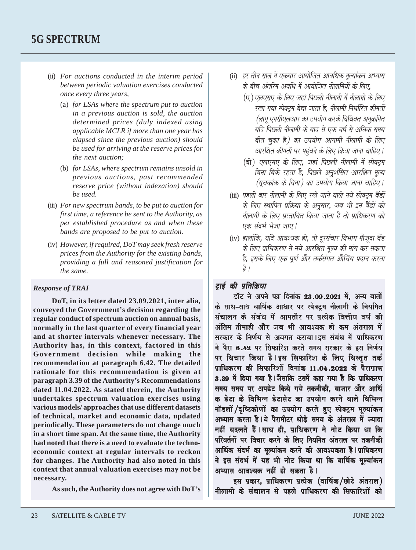- (ii) *For auctions conducted in the interim period between periodic valuation exercises conducted once every three years,*
	- (a) *for LSAs where the spectrum put to auction in a previous auction is sold, the auction determined prices (duly indexed using applicable MCLR if more than one year has elapsed since the previous auction) should be used for arriving at the reserve prices for the next auction;*
	- (b) *for LSAs, where spectrum remains unsold in previous auctions, past recommended reserve price (without indexation) should be used.*
- (iii) *For new spectrum bands, to be put to auction for first time, a reference be sent to the Authority, as per established procedure as and when these bands are proposed to be put to auction.*
- (iv) *However, if required, DoT may seek fresh reserve prices from the Authority for the existing bands, providing a full and reasoned justification for the same.*

#### *Response of TRAI*

**DoT, in its letter dated 23.09.2021, inter alia, conveyed the Government's decision regarding the regular conduct of spectrum auction on annual basis, normally in the last quarter of every financial year and at shorter intervals whenever necessary. The Authority has, in this context, factored in this Government decision while making the recommendation at paragraph 6.42. The detailed rationale for this recommendation is given at paragraph 3.39 of the Authority's Recommendations dated 11.04.2022. As stated therein, the Authority undertakes spectrum valuation exercises using various models/ approaches that use different datasets of technical, market and economic data, updated periodically. These parameters do not change much in a short time span. At the same time, the Authority had noted that there is a need to evaluate the technoeconomic context at regular intervals to reckon for changes. The Authority had also noted in this context that annual valuation exercises may not be necessary.**

**As such, the Authority does not agree with DoT's**

- (ii) हर तीन साल में एकबार आयोजित आवधिक मल्यांकन अभ्यास के बीच अंतरिम अवधि में आयोजित नीलामियों के लिए.
	- $\overline{u}$ ) एलएसए के लिए जहां पिछली नीलामी में नीलामी के लिए रखा गया स्पेक्टम बेचा जाता है. नीलामी निर्धारित कीमतों (लाग एमसीएलआर का उपयोग करके विधिवत अनक्रमित यदि पिछली नीलामी के बाद से एक वर्ष से अधिक समय बीत चका है) का उपयोग आगामी नीलामी के लिए आरक्षित कीमतों पर पहुंचने के लिए किया जाना चाहिए।
	- (वी) एलएसए के लिए, जहां पिछली नीलामी में स्पेक्टम बिना बिके रहता है, पिछले अनशंसित आरक्षित मुल्य (मुचकांक के बिना) का उपयोग किया जाना चाहिए।
- (iii) पहली बार नीलामी के लिए रखे जाने वाले नये स्पेक्टम बैंडों के लिए स्थापित प्रक्रिया के अनुसार, जब भी इन बैंडों को नीलामी के लिए प्रस्तावित किया जाता है तो प्राधिकरण को .<br>एक संदर्भ भेजा जाए |
- (iv) हालांकि, यदि आवश्यक हो, तो दरसंचार विभाग मौजूदा बैंड के लिए प्राधिकरण से नये आरक्षित मल्य की मांग कर सकता है. इसके लिए एक पूर्ण और तर्कसंगत औचिंय प्रदान करता  $\frac{1}{6}$

## टाई की प्रतिक्रिया

डॉट ने अपने पत्र दिनांक 23.09.2021 में, अन्य बातों के साथ–साथ वार्षिक आधार पर स्पेक्टम नीलामी के नियमित संचालन के संबंध में आमतौर पर पत्येक वित्तीय वर्ष की अंतिम तीमाही और जब भी आवश्यक हो कम अंतराल में सरकार के निर्णय से अवगत कराया | इस संबंध में पाधिकरण ने पैरा 6.42 पर सिफारिश करते समय सरकार के इस निर्णय पर विचार किया है।इस सिफारिश के लिए विस्तत तर्क पाधिकरण की सिफारिशों दिनांक 11.04.2022 के पैरागाफ 3.39 में दिया गया है ।जैसाकि उसमें कहा गया है कि पाधिकरण समय समय पर अपडेट किये गये तकनीकी. बाजार और आर्थि क डेटा के विभिन्न डेटासेट का उपयोग करने वाले विभिन्न mॅडलों /दृष्टिकोणों का उपयोग करते हुए स्पेक्टम मल्यांकन अभ्यास करता है।ये पैरामीटर थोड़े समय के अंतराल में ज्यादा नहीं बदलते हैं।साथ ही, प्राधिकरण ने नोट किया था कि परिवर्तनों पर विचार करने के लिए नियमित अंतराल पर तकनीकी आर्थिक संदर्भ का मूल्यांकन करने की आवश्यकता है।प्राधिकरण ने इस संदर्भ में यह भी नोट किया था कि वार्षिक मूल्यांकन अभ्यास आवश्यक नहीं हो सकता है।

इस प्रकार, प्राधिकरण प्रत्येक (वार्षिक/छोटे अंतराल) नीलामी के संचालन से पहले पाधिकरण की सिफारिशों को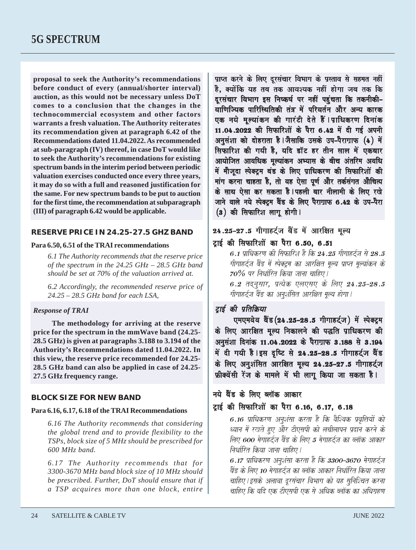**proposal to seek the Authority's recommendations before conduct of every (annual/shorter interval) auction, as this would not be necessary unless DoT comes to a conclusion that the changes in the technocommercial ecosystem and other factors warrants a fresh valuation. The Authority reiterates its recommendation given at paragraph 6.42 of the Recommendations dated 11.04.2022. As recommended at sub-paragraph (IV) thereof, in case DoT would like to seek the Authority's recommendations for existing spectrum bands in the interim period between periodic valuation exercises conducted once every three years, it may do so with a full and reasoned justification for the same. For new spectrum bands to be put to auction for the first time, the recommendation at subparagraph (III) of paragraph 6.42 would be applicable.**

#### **RESERVE PRICE IN 24.25-27.5 GHZ BAND**

#### **Para 6.50, 6.51 of the TRAI recommendations**

*6.1 The Authority recommends that the reserve price of the spectrum in the 24.25 GHz – 28.5 GHz band should be set at 70% of the valuation arrived at.*

*6.2 Accordingly, the recommended reserve price of 24.25 – 28.5 GHz band for each LSA,*

#### *Response of TRAI*

**The methodology for arriving at the reserve price for the spectrum in the mmWave band (24.25- 28.5 GHz) is given at paragraphs 3.188 to 3.194 of the Authority's Recommendations dated 11.04.2022. In this view, the reserve price recommended for 24.25- 28.5 GHz band can also be applied in case of 24.25- 27.5 GHz frequency range.**

#### **BLOCK SIZE FOR NEW BAND**

#### **Para 6.16, 6.17, 6.18 of the TRAI Recommendations**

*6.16 The Authority recommends that considering the global trend and to provide flexibility to the TSPs, block size of 5 MHz should be prescribed for 600 MHz band.*

*6.17 The Authority recommends that for 3300-3670 MHz band block size of 10 MHz should be prescribed. Further, DoT should ensure that if a TSP acquires more than one block, entire*

प्राप्त करने के लिए दरसंचार विभाग के प्रस्ताव से सहमत नहीं है. क्योंकि यह तब तक आवश्यक नहीं होगा जब तक कि दूरसंचार विभाग इस निष्कर्ष पर नहीं पहुंचता कि तकनीकी– वाणिज्यिक पारिस्थितिकी तंत्र में परिवर्तन और अन्य कारक एक नये मल्यांकन की गारंटी देते हैं ।प्राधिकरण दिनांक 11.04.2022 की सिफारिशों के पैरा 6.42 में दी गई अपनी अनुसंशा को दोहराता है।जैसाकि उसके उप-पैराग्राफ (4) में सिफारिश की गयी है. यदि डॉट हर तीन साल में एकबार आयोजित आवधिक मुल्यांकन अभ्यास के बीच अंतरिम अवधि में मौजूदा स्पेक्टम बंड के लिए प्राधिकरण की सिफारिशों की mंग करना चाहता है. तो वह ऐसा पर्ण और तर्कसंगत औचित्य के साथ ऐसा कर सकता है।पहली बार नीलामी के लिए रखे जाने वाले नये स्पेक्ट्रम बैंड के लिए पैराग्राफ 6.42 के उप–पैरा (3) की सिफारिश लागू होगी।

## 24.25-27.5 गीगाहर्टज बैंड में आरक्षित मुल्य

## टाई की सिफारिशों का पैरा 6.50, 6.51

 $6.1$  पाधिकरण की सिफारिश है कि 24.25 गीगाहर्टज से 28.5 गीगाहर्टज बैंड में स्पेक्ट्रम का आरक्षित मुल्य प्राप्त मुल्यांकन के  $70\%$  पर निर्धारित किया जाना चाहिए।  $6.2$  तदनसार, प्रत्येक एलएसए के लिए 24.25–28.5 गीगाहर्टज बैंड का अनशंसित आरक्षित मूल्य होगा।

## टाई की प्रतिक्रिया

एमएमवेव बैंड (24.25-28.5 गीगाहर्टज) में स्पेक्ट्रम के लिए आरक्षित मूल्य निकालने की पद्धति प्राधिकरण की अनुसंशा दिनांक 11.04.2022 के पैराग्राफ 3.188 से 3.194 में दी गयी है। इस दृष्टि से 24.25-28.5 गीगाहर्टज बैंड के लिए अनशंसित आरक्षित मल्य 24.25–27.5 गीगाहर्टज फ्रीक्वेंसी रेंज के मामले में भी लागू किया जा सकता है।

## नये बैंड के लिए ब्लॉक आकार

## टाई की सिफारिशों का पैरा 6.16, 6.17, 6.18

6.16 प्राधिकरण अनुशंसा करता है कि वैश्विक प्रवृत्तियों को <u>ध्यान में रखते हुए और टीएसपी को लचीलापन प्रदान करने के</u> लिए 600 मेगाहर्ट्ज बैंड के लिए 5 मेगाहर्टज का ब्लॉक आकार निर्धारित किया जाना चाहिए।

6.17 प्राधिकरण अनशंसा करता है कि 3300-3670 मेगाहर्टज बैंड के लिए 10 मेगाहर्टज का ब्लॉक आकार निर्धारित किया जाना चाहिए।इसके अलावा दुरसंचार विभाग को यह सुनिश्चित करना चाहिए कि यदि एक टीएसपी एक से अधिक ब्लॉक का अधिगहण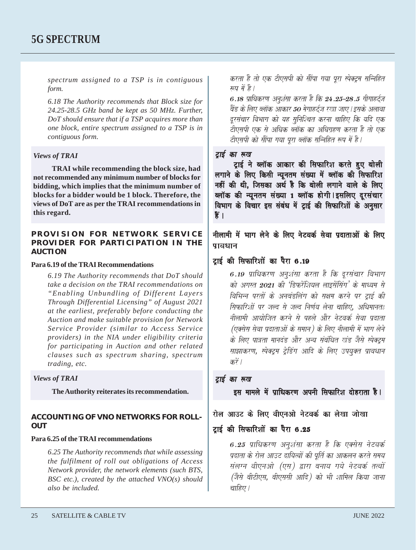*spectrum assigned to a TSP is in contiguous form.*

*6.18 The Authority recommends that Block size for 24.25-28.5 GHz band be kept as 50 MHz. Further, DoT should ensure that if a TSP acquires more than one block, entire spectrum assigned to a TSP is in contiguous form.*

#### *Views of TRAI*

**TRAI while recommending the block size, had not recommended any minimum number of blocks for bidding, which implies that the minimum number of blocks for a bidder would be 1 block. Therefore, the views of DoT are as per the TRAI recommendations in this regard.**

#### **PROVISION FOR NETWORK SERVICE PROVIDER FOR PARTICIPATION IN THE AUCTION**

#### **Para 6.19 of the TRAI Recommendations**

*6.19 The Authority recommends that DoT should take a decision on the TRAI recommendations on "Enabling Unbundling of Different Layers Through Differential Licensing" of August 2021 at the earliest, preferably before conducting the Auction and make suitable provision for Network Service Provider (similar to Access Service providers) in the NIA under eligibility criteria for participating in Auction and other related clauses such as spectrum sharing, spectrum trading, etc.*

#### *Views of TRAI*

**The Authority reiterates its recommendation.**

#### **ACCOUNTING OF VNO NETWORKS FOR ROLL-OUT**

#### **Para 6.25 of the TRAI recommendations**

*6.25 The Authority recommends that while assessing the fulfilment of roll out obligations of Access Network provider, the network elements (such BTS, BSC etc.), created by the attached VNO(s) should also be included.*

करता है तो एक टीएसपी को सौंपा गया पूरा स्पेक्ट्रम सन्निहित *म्बप में है।* 

6.18 प्राधिकरण अनुशंसा करता है कि 24.25–28.5 गीगाहर्ट्ज बैंड के लिए ब्लॉक आकार 50 मेगाहर्टज रखा जाए।इसके अलावा दरसंचार विभाग को यह सनिश्चित करना चाहिए कि यदि एक टीएसपी एक से अधिक ब्लॉक का अधिग्रहण करता है तो एक टीएसपी को सौंपा गया पूरा ब्लॉक सन्निहित रूप में है।

#### टाई का रूख

दाई ने ब्लॉक आकार की सिफारिश करते हुए बोली लगाने के लिए किसी न्यूनतम संख्या में ब्लॉक की सिफारिश नहीं की थी. जिसका अर्थ है कि बोली लगाने वाले के लिए ब्लॉक की न्यूनतम संख्या 1 ब्लॉक होगी |इसलिए दरसंचार विभाग के विचार इस संबंध में टाई की सिफारिशों के अनुसार क्षे ।

नीलामी में भाग लेने के लिए नेटवर्क सेवा प्रदाताओं के लिए पावधान

#### टाई की सिफारिशों का पैरा 6.19

6.19 प्राधिकरण अनूशंसा करता है कि दूरसंचार विभाग को अगस्त 2021 की 'डिफरेंशियल लाइसेंसिंग' के माध्यम से विभिन्न परतों के अनबंडलिंग को सक्षम करने पर टाई की सिफारिशों पर जल्द से जल्द निर्णय लेना चाहिए. अधिमानतः नीलामी आयोजित करने से पहले और नेटवर्क सेवा प्रदाता (एक्सेस सेवा प्रदाताओं के समान) के लिए नीलामी में भाग लेने के लिए पात्रता मानदंड और अन्य संबंधित खंड जैसे स्पेक्ट्रम साझाकरण, स्पेक्ट्रम ट्रेडिंग आदि के लिए उपयुक्त प्रावधान करें ।

#### ट्ठाई का रूख

इस मामले में पाधिकरण अपनी सिफारिश दोहराता है।

#### रोल आउट के लिए वीएनओ नेटवर्क का लेखा जोखा

#### दाई की सिफारिशों का पैरा 6.25

6.25 पाधिकरण अनशंसा करता है कि एक्सेस नेटवर्क प्रदाता के रोल आउट दायित्वों की पर्ति का आकलन करते समय संलग्न वीएनओ (एस) द्वारा बनाय गये नेटवर्क तत्वों (जैसे बीटीएस, बीएससी आदि) को भी शामिल किया जाना वाहिए।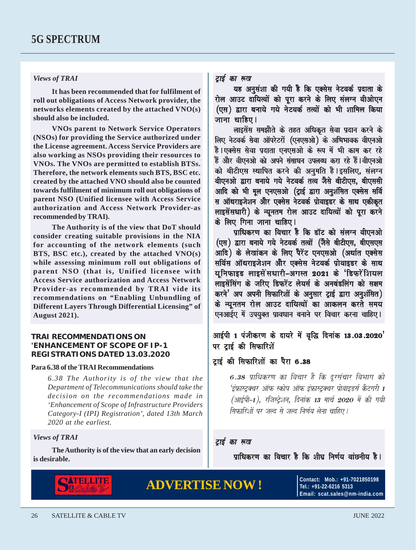#### *Views of TRAI*

**It has been recommended that for fulfilment of roll out obligations of Access Network provider, the networks elements created by the attached VNO(s) should also be included.**

**VNOs parent to Network Service Operators (NSOs) for providing the Service authorized under the License agreement. Access Service Providers are also working as NSOs providing their resources to VNOs. The VNOs are permitted to establish BTSs. Therefore, the network elements such BTS, BSC etc. created by the attached VNO should also be counted towards fulfilment of minimum roll out obligations of parent NSO (Unified licensee with Access Service authorization and Access Network Provider-as recommended by TRAI).**

**The Authority is of the view that DoT should consider creating suitable provisions in the NIA for accounting of the network elements (such BTS, BSC etc.), created by the attached VNO(s) while assessing minimum roll out obligations of parent NSO (that is, Unified licensee with Access Service authorization and Access Network Provider-as recommended by TRAI vide its recommendations on "Enabling Unbundling of Different Layers Through Differential Licensing" of August 2021).**

#### **TRAI RECOMMENDATIONS ON 'ENHANCEMENT OF SCOPE OF IP-1 REGISTRATIONS DATED 13.03.2020**

#### **Para 6.38 of the TRAI Recommendations**

*6.38 The Authority is of the view that the Department of Telecommunications should take the decision on the recommendations made in 'Enhancement of Scope of Infrastructure Providers Category-I (IPI) Registration', dated 13th March 2020 at the earliest.*

#### *Views of TRAI*

**The Authority is of the view that an early decision is desirable.**



# **ADVERTISE NOW !** CONTEGREE: MOB.: +91-7021850198

टाई का रूख

**Tel.: +91-22-6216 5313 Email: scat.sales@nm-india.com**

#### टाई का रूख

यह अनसंशा की गयी है कि एक्सेस नेटवर्क प्रदाता के रोल आउट दायित्वों को पूरा करने के लिए संलग्न वीओएन (एस) द्वारा बनाये गये नेटवर्क तत्वों को भी शामिल किया जाना चाहिए।

लाइसेंस समझौते के तहत अधिकत सेवा प्रदान करने के लिए नेटवर्क सेवा ऑपरेटरों (एनएसओ) के अभिभावक वीएनओ है।एक्सेस सेवा पदाता एनएसओ के रूप में भी काम कर रहे े हैं और वीएनओ को अपने संसाधन उपलब्ध करा रहे हैं।वीएनओ को बीटीएस स्थापित करने की अनुमति है।इसलिए, संलग्न वीएनओ द्वारा बनाये गये नेटवर्क तत्व जैसे बीटीएस. बीएससी आदि को भी मूल एनएसओ (ट्राई द्वारा अनुशंसित एक्सेस सर्वि स ऑथराइजेशन और एक्सेस नेटवर्क प्रोवाइडर के साथ एकीकृत लाइसेंसधारी) के न्यूनतम रोल आउट दायित्वों को पूरा करने के लिए गिना जाना चाहिए।

प्राधिकरण का विचार है कि डॉट को संलग्न वीएनओ (एस) द्वारा बनाये गये नेटवर्क तत्वों (जैसे बीटीएस. बीएसएस आदि) के लेखांकन के लिए पैरेंट एनएसओ (अर्थात एक्सेस सर्विस ऑथराइजेशन और एक्सेस नेटवर्क प्रोवाइडर के साथ युनिफाइड लाइसेंसधारी-अगस्त 2021 के 'डिफरेंशियल लाइसेंसिंग के जरिए डिफरेंट लेयर्स के अनबंडलिंग को सक्षम करने' अप अपनी सिफारिशों के अनुसार ट्राई द्वारा अनुशंसित) के न्यूनतम रोल आउट दायित्वों का आकलन करते समय एनआईए में उपयुक्त प्रावधान बनाने पर विचार करना चाहिए।

आईपी 1 पंजीकरण के दायरे में वृद्धि दिनांक 13.03.2020' पर टाई की सिफारिशें

#### टाई की सिफारिशों का पैरा 6.38

6.38 प्राधिकरण का विचार है कि दूरसंचार विभाग को 'इंफ्रास्ट्रक्वर ऑफ स्कोप ऑफ इंफ्रास्ट्रक्वर प्रोवाइडर्स कैटगरी 1  $(A$ याईपी-1 $)$ , रजिस्टेशन, दिनांक 13 मार्च 2020 में की गयी .<br>सिफारिशों पर जल्द से जल्द निर्णय लेना चाहिए l

पाधिकरण का विचार है कि शीघ निर्णय वांछनीय है।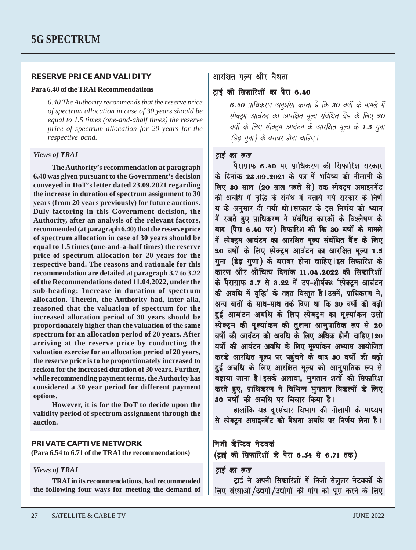#### **RESERVE PRICE AND VALIDITY**

#### **Para 6.40 of the TRAI Recommendations**

*6.40 The Authority recommends that the reserve price of spectrum allocation in case of 30 years should be equal to 1.5 times (one-and-ahalf times) the reserve price of spectrum allocation for 20 years for the respective band.*

#### *Views of TRAI*

**The Authority's recommendation at paragraph 6.40 was given pursuant to the Government's decision conveyed in DoT's letter dated 23.09.2021 regarding the increase in duration of spectrum assignment to 30 years (from 20 years previously) for future auctions. Duly factoring in this Government decision, the Authority, after an analysis of the relevant factors, recommended (at paragraph 6.40) that the reserve price of spectrum allocation in case of 30 years should be equal to 1.5 times (one-and-a-half times) the reserve price of spectrum allocation for 20 years for the respective band. The reasons and rationale for this recommendation are detailed at paragraph 3.7 to 3.22 of the Recommendations dated 11.04.2022, under the sub-heading: Increase in duration of spectrum allocation. Therein, the Authority had, inter alia, reasoned that the valuation of spectrum for the increased allocation period of 30 years should be proportionately higher than the valuation of the same spectrum for an allocation period of 20 years. After arriving at the reserve price by conducting the valuation exercise for an allocation period of 20 years, the reserve price is to be proportionately increased to reckon for the increased duration of 30 years. Further, while recommending payment terms, the Authority has considered a 30 year period for different payment options.**

**However, it is for the DoT to decide upon the validity period of spectrum assignment through the auction.**

#### **PRIVATE CAPTIVE NETWORK**

**(Para 6.54 to 6.71 of the TRAI the recommendations)**

#### *Views of TRAI*

**TRAI in its recommendations, had recommended the following four ways for meeting the demand of**

#### आरक्षित मल्य और वैधता

टाई की सिफारिशों का पैरा 6.40

6.40 प्राधिकरण अनुशंसा करता है कि 30 वर्षों के मामले में स्पेक्टम आवंटन का आरक्षित मुल्य संबंधित बैंड के लिए 20 वर्षों के लिए स्पेक्ट्रम आवंटन के आरक्षित मूल्य के 1.5 गना  $\overline{\mathcal{E}}$ डेढ गुना) के बराबर होना चाहिए।

#### टाई का रूख

पैराग्राफ 6.40 पर प्राधिकरण की सिफारिश सरकार के दिनांक 23.09.2021 के पत्र में भविष्य की नीलामी के ila<br>लिए 30 साल (20 साल पहले से) तक स्पेक्टम असाइनमेंट की अवधि में वृद्धि के संबंध में बताये गये सरकार के निर्ण य के अनसार दी गयी थी । सरकार के इस निर्णय को ध्यान .<br>में रखते हुए प्राधिकरण ने संबंधित कारकों के विश्लेषण के बाद (पैरा 6.40 पर) सिफारिश की कि 30 वर्षों के मामले .<br>में स्पेक्ट्रम आवंटन का आरक्षित मूल्य संबंधित बैंड के लिए 20 वर्षों के लिए स्पेक्टम आवंटन का आरक्षित मूल्य 1.5 गना (डेढ गणा) के बराबर होना चाहिए ।इस सिफारिश के ward Aanon Aanon Aanon 2012 ku isafarna<br>Saatu isafarna Aanon Aanon Aanon Aanon Aanon aanon amarna 2022 kii isafa के पैराग्राफ 3.7 से 3.22 में उप-शीर्षकः 'स्पेक्ट्रम आवंटन की अवधि में वृद्धि' के तहत विस्तृत है।उसमें, प्राधिकरण ने, अन्य बातों के साथ-साथ तर्क दिया था कि 30 वर्षों की बढ़ी हुई आवंटन अवधि के लिए स्पेक्ट्रम का मूल्यांकन उसी <del>.</del><br>स्पेक्ट्रम की मूल्यांकन की तुलना आनुपातिक रूप से 20 वर्षों की आवंटन की अवधि के लिए अधिक होनी चाहिए।20 वर्षो की आवंटन अवधि के लिए मुल्यांकन अभ्यास आयोजित करके आरक्षित मूल्य पर पहुंचने के बाद 30 वर्षो की बढ़ी हुई अवधि के लिए आरक्षित मूल्य को आनुपातिक रूप से baZ,ayaa jaanaa hO.[sako Alaavaa¸ Baugatana Satao-M kI isafairSa baZ,ayaa jaanaa hO.[sako Alaavaa¸ Baugatana Satao-M kI isafairSabaZ,ayaa jaanaa hO.[sako Alaavaa¸ Satao-M kI isafairSa करते हुए, प्राधिकरण ने विभिन्न भुगतान विकल्पों के लिए 30 वर्षों की अवधि पर विचार किया है।

हालांकि यह दूरसंचार विभाग की नीलामी के माध्यम से स्पेक्टम असाइनमेंट की वैधता अवधि पर निर्णय लेना है।

## निजी कैप्टिव नेटवर्क

(ट्राई की सिफारिशों के पैरा 6.54 से 6.71 तक)

#### टाई का रूख

टाई ने अपनी सिफारिशों में निजी सेललर नेटवर्कों के लिए संस्थाओं /उद्यमों /उद्योगों की मांग को पूरा करने के लिए